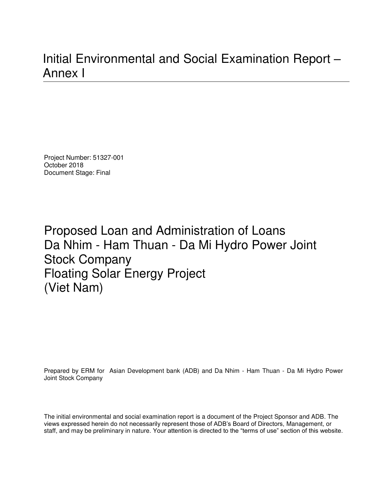# Initial Environmental and Social Examination Report – Annex I

Project Number: 51327-001 October 2018 Document Stage: Final

Proposed Loan and Administration of Loans Da Nhim - Ham Thuan - Da Mi Hydro Power Joint Stock Company Floating Solar Energy Project (Viet Nam)

Prepared by ERM for Asian Development bank (ADB) and Da Nhim - Ham Thuan - Da Mi Hydro Power Joint Stock Company

The initial environmental and social examination report is a document of the Project Sponsor and ADB. The views expressed herein do not necessarily represent those of ADB's Board of Directors, Management, or staff, and may be preliminary in nature. Your attention is directed to the "terms of use" section of this website.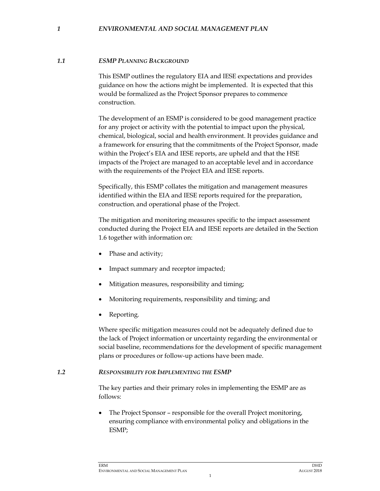#### *1 ENVIRONMENTAL AND SOCIAL MANAGEMENT PLAN*

#### *1.1 ESMP PLANNING BACKGROUND*

This ESMP outlines the regulatory EIA and IESE expectations and provides guidance on how the actions might be implemented. It is expected that this would be formalized as the Project Sponsor prepares to commence construction.

The development of an ESMP is considered to be good management practice for any project or activity with the potential to impact upon the physical, chemical, biological, social and health environment. It provides guidance and a framework for ensuring that the commitments of the Project Sponsor, made within the Project's EIA and IESE reports, are upheld and that the HSE impacts of the Project are managed to an acceptable level and in accordance with the requirements of the Project EIA and IESE reports.

Specifically, this ESMP collates the mitigation and management measures identified within the EIA and IESE reports required for the preparation, construction, and operational phase of the Project.

The mitigation and monitoring measures specific to the impact assessment conducted during the Project EIA and IESE reports are detailed in the Section 1.6 together with information on:

- Phase and activity;
- Impact summary and receptor impacted;
- Mitigation measures, responsibility and timing;
- Monitoring requirements, responsibility and timing; and
- Reporting.

Where specific mitigation measures could not be adequately defined due to the lack of Project information or uncertainty regarding the environmental or social baseline, recommendations for the development of specific management plans or procedures or follow-up actions have been made.

#### *1.2 RESPONSIBILITY FOR IMPLEMENTING THE ESMP*

The key parties and their primary roles in implementing the ESMP are as follows:

• The Project Sponsor – responsible for the overall Project monitoring, ensuring compliance with environmental policy and obligations in the ESMP;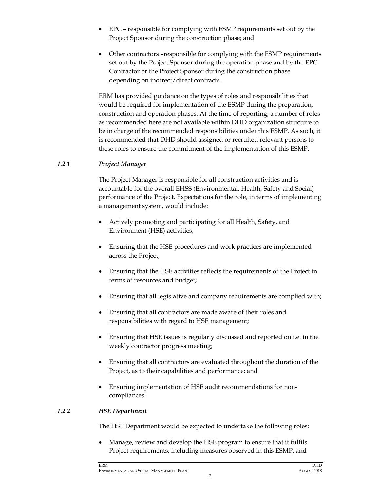- EPC responsible for complying with ESMP requirements set out by the Project Sponsor during the construction phase; and
- Other contractors –responsible for complying with the ESMP requirements set out by the Project Sponsor during the operation phase and by the EPC Contractor or the Project Sponsor during the construction phase depending on indirect/direct contracts.

ERM has provided guidance on the types of roles and responsibilities that would be required for implementation of the ESMP during the preparation, construction and operation phases. At the time of reporting, a number of roles as recommended here are not available within DHD organization structure to be in charge of the recommended responsibilities under this ESMP. As such, it is recommended that DHD should assigned or recruited relevant persons to these roles to ensure the commitment of the implementation of this ESMP.

#### *1.2.1 Project Manager*

The Project Manager is responsible for all construction activities and is accountable for the overall EHSS (Environmental, Health, Safety and Social) performance of the Project. Expectations for the role, in terms of implementing a management system, would include:

- Actively promoting and participating for all Health, Safety, and Environment (HSE) activities;
- Ensuring that the HSE procedures and work practices are implemented across the Project;
- Ensuring that the HSE activities reflects the requirements of the Project in terms of resources and budget;
- Ensuring that all legislative and company requirements are complied with;
- Ensuring that all contractors are made aware of their roles and responsibilities with regard to HSE management;
- Ensuring that HSE issues is regularly discussed and reported on i.e. in the weekly contractor progress meeting;
- Ensuring that all contractors are evaluated throughout the duration of the Project, as to their capabilities and performance; and
- Ensuring implementation of HSE audit recommendations for noncompliances.

#### *1.2.2 HSE Department*

The HSE Department would be expected to undertake the following roles:

• Manage, review and develop the HSE program to ensure that it fulfils Project requirements, including measures observed in this ESMP, and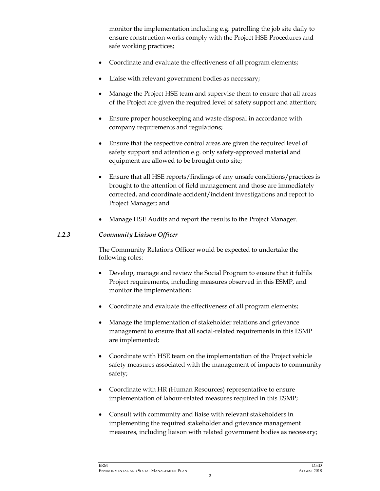monitor the implementation including e.g. patrolling the job site daily to ensure construction works comply with the Project HSE Procedures and safe working practices;

- Coordinate and evaluate the effectiveness of all program elements;
- Liaise with relevant government bodies as necessary;
- Manage the Project HSE team and supervise them to ensure that all areas of the Project are given the required level of safety support and attention;
- Ensure proper housekeeping and waste disposal in accordance with company requirements and regulations;
- Ensure that the respective control areas are given the required level of safety support and attention e.g. only safety-approved material and equipment are allowed to be brought onto site;
- Ensure that all HSE reports/findings of any unsafe conditions/practices is brought to the attention of field management and those are immediately corrected, and coordinate accident/incident investigations and report to Project Manager; and
- Manage HSE Audits and report the results to the Project Manager.

#### *1.2.3 Community Liaison Officer*

The Community Relations Officer would be expected to undertake the following roles:

- Develop, manage and review the Social Program to ensure that it fulfils Project requirements, including measures observed in this ESMP, and monitor the implementation;
- Coordinate and evaluate the effectiveness of all program elements;
- Manage the implementation of stakeholder relations and grievance management to ensure that all social-related requirements in this ESMP are implemented;
- Coordinate with HSE team on the implementation of the Project vehicle safety measures associated with the management of impacts to community safety;
- Coordinate with HR (Human Resources) representative to ensure implementation of labour-related measures required in this ESMP;
- Consult with community and liaise with relevant stakeholders in implementing the required stakeholder and grievance management measures, including liaison with related government bodies as necessary;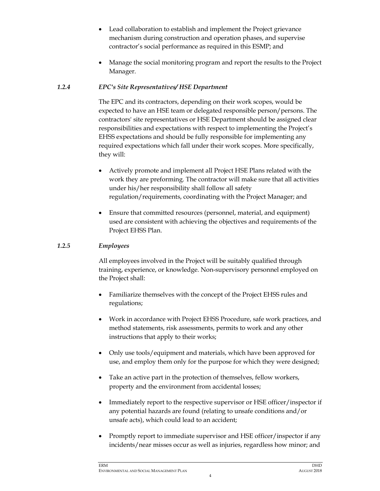- Lead collaboration to establish and implement the Project grievance mechanism during construction and operation phases, and supervise contractor's social performance as required in this ESMP; and
- Manage the social monitoring program and report the results to the Project Manager.

### *1.2.4 EPC's Site Representatives/ HSE Department*

The EPC and its contractors, depending on their work scopes, would be expected to have an HSE team or delegated responsible person/persons. The contractors' site representatives or HSE Department should be assigned clear responsibilities and expectations with respect to implementing the Project's EHSS expectations and should be fully responsible for implementing any required expectations which fall under their work scopes. More specifically, they will:

- Actively promote and implement all Project HSE Plans related with the work they are preforming. The contractor will make sure that all activities under his/her responsibility shall follow all safety regulation/requirements, coordinating with the Project Manager; and
- Ensure that committed resources (personnel, material, and equipment) used are consistent with achieving the objectives and requirements of the Project EHSS Plan.

### *1.2.5 Employees*

All employees involved in the Project will be suitably qualified through training, experience, or knowledge. Non-supervisory personnel employed on the Project shall:

- Familiarize themselves with the concept of the Project EHSS rules and regulations;
- Work in accordance with Project EHSS Procedure, safe work practices, and method statements, risk assessments, permits to work and any other instructions that apply to their works;
- Only use tools/equipment and materials, which have been approved for use, and employ them only for the purpose for which they were designed;
- Take an active part in the protection of themselves, fellow workers, property and the environment from accidental losses;
- Immediately report to the respective supervisor or HSE officer/inspector if any potential hazards are found (relating to unsafe conditions and/or unsafe acts), which could lead to an accident;
- Promptly report to immediate supervisor and HSE officer/inspector if any incidents/near misses occur as well as injuries, regardless how minor; and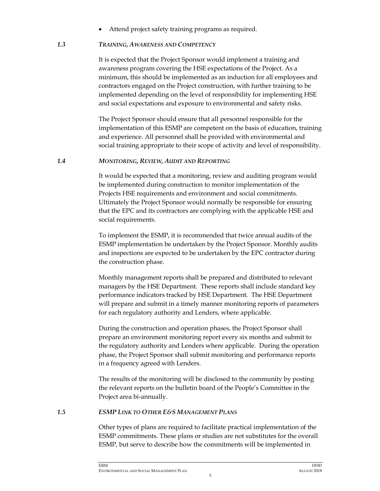• Attend project safety training programs as required.

#### *1.3 TRAINING, AWARENESS AND COMPETENCY*

It is expected that the Project Sponsor would implement a training and awareness program covering the HSE expectations of the Project. As a minimum, this should be implemented as an induction for all employees and contractors engaged on the Project construction, with further training to be implemented depending on the level of responsibility for implementing HSE and social expectations and exposure to environmental and safety risks.

The Project Sponsor should ensure that all personnel responsible for the implementation of this ESMP are competent on the basis of education, training and experience. All personnel shall be provided with environmental and social training appropriate to their scope of activity and level of responsibility.

#### *1.4 MONITORING, REVIEW, AUDIT AND REPORTING*

It would be expected that a monitoring, review and auditing program would be implemented during construction to monitor implementation of the Projects HSE requirements and environment and social commitments. Ultimately the Project Sponsor would normally be responsible for ensuring that the EPC and its contractors are complying with the applicable HSE and social requirements.

To implement the ESMP, it is recommended that twice annual audits of the ESMP implementation be undertaken by the Project Sponsor. Monthly audits and inspections are expected to be undertaken by the EPC contractor during the construction phase.

Monthly management reports shall be prepared and distributed to relevant managers by the HSE Department. These reports shall include standard key performance indicators tracked by HSE Department. The HSE Department will prepare and submit in a timely manner monitoring reports of parameters for each regulatory authority and Lenders, where applicable.

During the construction and operation phases, the Project Sponsor shall prepare an environment monitoring report every six months and submit to the regulatory authority and Lenders where applicable. During the operation phase, the Project Sponsor shall submit monitoring and performance reports in a frequency agreed with Lenders.

The results of the monitoring will be disclosed to the community by posting the relevant reports on the bulletin board of the People's Committee in the Project area bi-annually.

#### *1.5 ESMP LINK TO OTHER E&S MANAGEMENT PLANS*

Other types of plans are required to facilitate practical implementation of the ESMP commitments. These plans or studies are not substitutes for the overall ESMP, but serve to describe how the commitments will be implemented in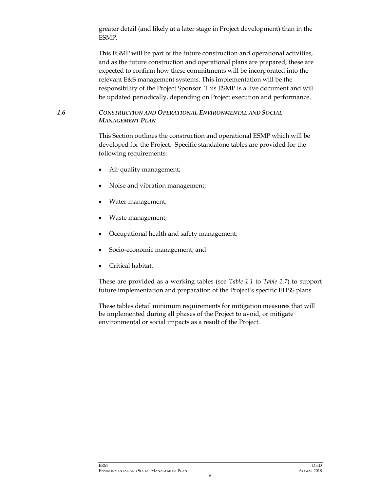greater detail (and likely at a later stage in Project development) than in the ESMP.

This ESMP will be part of the future construction and operational activities, and as the future construction and operational plans are prepared, these are expected to confirm how these commitments will be incorporated into the relevant E&S management systems. This implementation will be the responsibility of the Project Sponsor. This ESMP is a live document and will be updated periodically, depending on Project execution and performance.

#### *1.6 CONSTRUCTION AND OPERATIONAL ENVIRONMENTAL AND SOCIAL MANAGEMENT PLAN*

This Section outlines the construction and operational ESMP which will be developed for the Project. Specific standalone tables are provided for the following requirements:

- Air quality management;
- Noise and vibration management;
- Water management;
- Waste management;
- Occupational health and safety management;
- Socio-economic management; and
- Critical habitat.

These are provided as a working tables (see *Table 1.1* to *Table 1.7*) to support future implementation and preparation of the Project's specific EHSS plans.

These tables detail minimum requirements for mitigation measures that will be implemented during all phases of the Project to avoid, or mitigate environmental or social impacts as a result of the Project.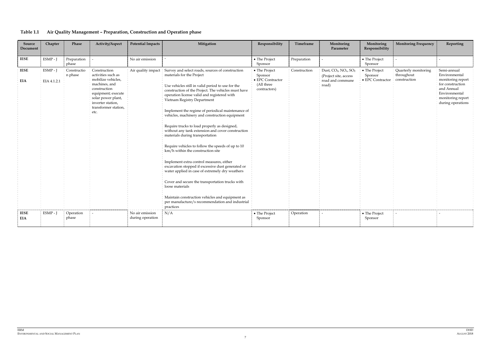| Table 1.1 |  |  | Air Quality Management – Preparation, Construction and Operation phase |
|-----------|--|--|------------------------------------------------------------------------|
|-----------|--|--|------------------------------------------------------------------------|

| Source<br>Document        | Chapter                   | Phase                  | Activity/Aspect                                                                                                                                                                            | <b>Potential Impacts</b>            | Mitigation                                                                                                                                                                                                                                                                                                                                                                                                                                                                                                                                                                                                                                                                                                                                                                                                                                                                                                                                                                       | Responsibility                                                                     | Timeframe    | Monitoring<br>Parameter                                                           | Monitoring<br>Responsibility                 | <b>Monitoring Frequency</b>                        | Reporting                                                                                                                                      |
|---------------------------|---------------------------|------------------------|--------------------------------------------------------------------------------------------------------------------------------------------------------------------------------------------|-------------------------------------|----------------------------------------------------------------------------------------------------------------------------------------------------------------------------------------------------------------------------------------------------------------------------------------------------------------------------------------------------------------------------------------------------------------------------------------------------------------------------------------------------------------------------------------------------------------------------------------------------------------------------------------------------------------------------------------------------------------------------------------------------------------------------------------------------------------------------------------------------------------------------------------------------------------------------------------------------------------------------------|------------------------------------------------------------------------------------|--------------|-----------------------------------------------------------------------------------|----------------------------------------------|----------------------------------------------------|------------------------------------------------------------------------------------------------------------------------------------------------|
| <b>IESE</b>               | ESMP - J                  | Preparation<br>phase   |                                                                                                                                                                                            | No air emission                     |                                                                                                                                                                                                                                                                                                                                                                                                                                                                                                                                                                                                                                                                                                                                                                                                                                                                                                                                                                                  | • The Project<br>Sponsor                                                           | Preparation  |                                                                                   | • The Project<br>Sponsor                     |                                                    |                                                                                                                                                |
| <b>IESE</b><br><b>EIA</b> | $ESMP - J$<br>EIA 4.1.2.1 | Constructio<br>n phase | Construction<br>activities such as<br>mobilize vehicles,<br>machines, and<br>construction<br>equipment; execute<br>solar power plant,<br>inverter station,<br>transformer station,<br>etc. |                                     | Air quality impact Survey and select roads, sources of construction<br>materials for the Project<br>Use vehicles still in valid period to use for the<br>construction of the Project. The vehicles must have<br>operation license valid and registered with<br>Vietnam Registry Department<br>Implement the regime of periodical maintenance of<br>vehicles, machinery and construction equipment<br>Require trucks to load properly as designed,<br>without any tank extension and cover construction<br>materials during transportation<br>Require vehicles to follow the speeds of up to 10<br>km/h within the construction site<br>Implement extra control measures, either<br>excavation stopped if excessive dust generated or<br>water applied in case of extremely dry weathers<br>Cover and secure the transportation trucks with<br>loose materials<br>Maintain construction vehicles and equipment as<br>per manufacture/s recommendation and industrial<br>practices | • The Project<br>Sponsor<br>$\bullet$ EPC Contractor<br>(All three<br>contractors) | Construction | Dust, $CO2$ , $NOx$ , $SO2$<br>(Project site, access<br>road and commune<br>road) | • The Project<br>Sponsor<br>• EPC Contractor | Quarterly monitoring<br>throughout<br>construction | Semi-annual<br>Environmental<br>monitoring report<br>for construction<br>and Annual<br>Environmental<br>monitoring report<br>during operations |
| <b>IESE</b><br>EIA        | ESMP - J                  | Operation<br>phase     |                                                                                                                                                                                            | No air emission<br>during operation | N/A                                                                                                                                                                                                                                                                                                                                                                                                                                                                                                                                                                                                                                                                                                                                                                                                                                                                                                                                                                              | • The Project<br>Sponsor                                                           | Operation    |                                                                                   | • The Project<br>Sponsor                     |                                                    |                                                                                                                                                |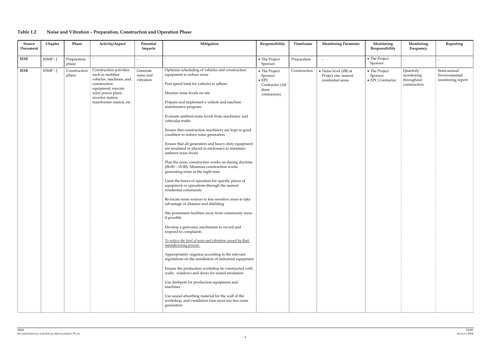# **Table 1.2 Noise and Vibration – Preparation, Construction and Operation Phase**

| ESMP - J<br>Preparation<br>$\overline{a}$<br><b>IESE</b><br>• The Project<br>phase<br>Sponsor                                                                                                                                                                                                                                                                                                                                                                                                                                                                                                                                                                                                                                                                                                                                                                                                                                                                                                                                                                                                                                                                                                                                                                                                                                                                                                                                                                                                                                                                                                                                                                                                                                                                                                                                                                                                                                                       | • The Project<br>Preparation                                                                                                                                                                                                                      |
|-----------------------------------------------------------------------------------------------------------------------------------------------------------------------------------------------------------------------------------------------------------------------------------------------------------------------------------------------------------------------------------------------------------------------------------------------------------------------------------------------------------------------------------------------------------------------------------------------------------------------------------------------------------------------------------------------------------------------------------------------------------------------------------------------------------------------------------------------------------------------------------------------------------------------------------------------------------------------------------------------------------------------------------------------------------------------------------------------------------------------------------------------------------------------------------------------------------------------------------------------------------------------------------------------------------------------------------------------------------------------------------------------------------------------------------------------------------------------------------------------------------------------------------------------------------------------------------------------------------------------------------------------------------------------------------------------------------------------------------------------------------------------------------------------------------------------------------------------------------------------------------------------------------------------------------------------------|---------------------------------------------------------------------------------------------------------------------------------------------------------------------------------------------------------------------------------------------------|
|                                                                                                                                                                                                                                                                                                                                                                                                                                                                                                                                                                                                                                                                                                                                                                                                                                                                                                                                                                                                                                                                                                                                                                                                                                                                                                                                                                                                                                                                                                                                                                                                                                                                                                                                                                                                                                                                                                                                                     | Sponsor                                                                                                                                                                                                                                           |
| Optimize scheduling of vehicles and construction<br>Construction activities<br>ESMP - J<br>Generate<br><b>IESE</b><br>Construction<br>• The Project<br>such as mobilize<br>equipment to reduce noise<br>noise and<br>phase<br>Sponsor<br>vehicles, machines, and<br>vibration<br>$\bullet$ EPC<br>Post speed limit for vehicles to adhere<br>construction<br>Contractor (All<br>equipment; execute<br>three<br>solar power plant,<br>Monitor noise levels on site<br>contractors)<br>inverter station,<br>transformer station, etc.<br>Prepare and implement a vehicle and machine<br>maintenance program.<br>Evaluate ambient noise levels from machinery and<br>vehicular traffic<br>Ensure that construction machinery are kept in good<br>condition to reduce noise generation<br>Ensure that all generators and heavy-duty equipment<br>are insulated or placed in enclosures to minimize<br>ambient noise levels<br>Plan the noisy construction works on during daytime<br>$(06:00 - 18:00)$ . Minimize construction works<br>generating noise at the night time<br>Limit the hours of operation for specific pieces of<br>equipment or operations through the nearest<br>residential community<br>Re-locate noise sources to less sensitive areas to take<br>advantage of distance and shielding<br>Site permanent facilities away from community areas<br>if possible<br>Develop a grievance mechanism to record and<br>respond to complaints<br>To reduce the level of noise and vibration caused by float<br>manufacturing process<br>Appropriately organize according to the relevant<br>regulations on the installation of industrial equipment<br>Ensure the production workshop be constructed with<br>walls, windows and doors for sound insulation<br>Use dashpots for production equipment and<br>machines<br>Use sound absorbing material for the wall of the<br>workshop, and ventilation fans must use less noise<br>generation | Semi-annual<br>Construction<br>• Noise level (dB) at<br>• The Project<br>Quarterly<br>Environmental<br>Project site, nearest<br>monitoring<br>Sponsor<br>monitoring report<br>residential areas<br>throughout<br>• EPC Contractor<br>construction |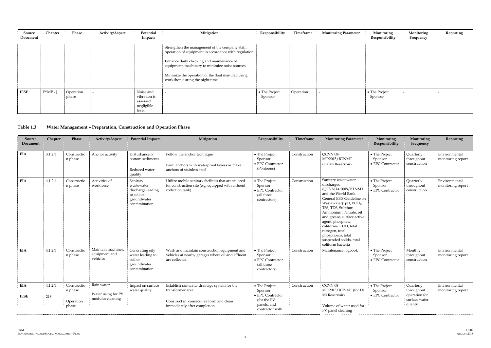| Source<br>Document | Chapter  | Phase              | <b>Activity/Aspect</b> | Potential<br>Impacts                                         | Mitigation                                                                                                                                                                                                                                                                                    | Responsibility           | Timeframe | <b>Monitoring Parameter</b> | Monitoring<br>Responsibility | Monitoring<br>Frequency | Reporting |
|--------------------|----------|--------------------|------------------------|--------------------------------------------------------------|-----------------------------------------------------------------------------------------------------------------------------------------------------------------------------------------------------------------------------------------------------------------------------------------------|--------------------------|-----------|-----------------------------|------------------------------|-------------------------|-----------|
|                    |          |                    |                        |                                                              | Strengthen the management of the company staff,<br>operation of equipment in accordance with regulation<br>Enhance daily checking and maintenance of<br>equipment, machinery to minimize noise sources<br>Minimize the operation of the float manufacturing<br>workshop during the night time |                          |           |                             |                              |                         |           |
| <b>IESE</b>        | ESMP - J | Operation<br>phase |                        | Noise and<br>vibration is<br>assessed<br>negligible<br>level |                                                                                                                                                                                                                                                                                               | • The Project<br>Sponsor | Operation |                             | • The Project<br>Sponsor     |                         |           |

# **Table 1.3 Water Management – Preparation, Construction and Operation Phase**

| Source<br>Document        | Chapter        | Phase                                        | <b>Activity/Aspect</b>                               | <b>Potential Impacts</b>                                                                  | Mitigation                                                                                                                                 | Responsibility                                                                                | Timeframe    | <b>Monitoring Parameter</b>                                                                                                                                                                                                                                                                                                                                           | Monitoring<br>Responsibility                 | Monitoring<br>Frequency                                              | Reporting                          |
|---------------------------|----------------|----------------------------------------------|------------------------------------------------------|-------------------------------------------------------------------------------------------|--------------------------------------------------------------------------------------------------------------------------------------------|-----------------------------------------------------------------------------------------------|--------------|-----------------------------------------------------------------------------------------------------------------------------------------------------------------------------------------------------------------------------------------------------------------------------------------------------------------------------------------------------------------------|----------------------------------------------|----------------------------------------------------------------------|------------------------------------|
| <b>EIA</b>                | 3.1.2.1        | Constructio<br>n phase                       | Anchor activity                                      | Disturbance of<br>bottom sediments<br>Reduced water<br>quality                            | Follow the anchor technique<br>Paint anchors with waterproof layers or make<br>anchors of stainless steel                                  | • The Project<br>Sponsor<br>• EPC Contractor<br>(Pontoons)                                    | Construction | QCVN 08-<br>MT:2015/BTNMT<br>(Da Mi Reservoir)                                                                                                                                                                                                                                                                                                                        | • The Project<br>Sponsor<br>• EPC Contractor | Quarterly<br>throughout<br>construction                              | Environmental<br>monitoring report |
| <b>EIA</b>                | 4.1.2.1        | Constructio<br>n phase                       | Activities of<br>workforce                           | Sanitary<br>wastewater<br>discharge leading<br>to soil or<br>groundwater<br>contamination | Utilize mobile sanitary facilities that are tailored<br>for construction site (e.g. equipped with effluent<br>collection tank)             | • The Project<br>Sponsor<br>$\bullet$ EPC Contractor<br>(all three<br>contractors)            | Construction | Sanitary wastewater<br>discharged<br>(QCVN 14:2008/BTNMT<br>and the World Bank<br>General EHS Guideline on<br>Wastewater): pH, BOD <sub>5</sub> ,<br>TSS, TDS, Sulphur,<br>Ammonium, Nitrate, oil<br>and grease, surface active<br>agent, phosphate,<br>coliforms, COD, total<br>nitrogen, total<br>phosphorus, total<br>suspended solids, total<br>coliform bacteria | • The Project<br>Sponsor<br>• EPC Contractor | Quarterly<br>throughout<br>construction                              | Environmental<br>monitoring report |
| <b>EIA</b>                | 4.1.2.1        | Constructio<br>n phase                       | Maintain machines,<br>equipment and<br>vehicles      | Generating oily<br>water leading to<br>soil or<br>groundwater<br>contamination            | Wash and maintain construction equipment and<br>vehicles at nearby garages where oil and effluent<br>are collected                         | • The Project<br>Sponsor<br>• EPC Contractor<br>(all three<br>contractors)                    | Construction | Maintenance logbook                                                                                                                                                                                                                                                                                                                                                   | • The Project<br>Sponsor<br>• EPC Contractor | Monthly<br>throughout<br>construction                                | Environmental<br>monitoring report |
| <b>EIA</b><br><b>IESE</b> | 4.1.2.1<br>218 | Constructio<br>n phase<br>Operation<br>phase | Rain water<br>Water using for PV<br>modules cleaning | Impact on surface<br>water quality                                                        | Establish rainwater drainage system for the<br>transformer area<br>Construct in consecutive form and clean<br>immediately after completion | • The Project<br>Sponsor<br>• EPC Contractor<br>(for the PV<br>panels, and<br>contractor with | Construction | QCVN 08-<br>MT:2015/BTNMT (for Da<br>Mi Reservoir)<br>Volume of water used for<br>PV panel cleaning                                                                                                                                                                                                                                                                   | • The Project<br>Sponsor<br>• EPC Contractor | Quarterly<br>throughout<br>operation for<br>surface water<br>quality | Environmental<br>monitoring report |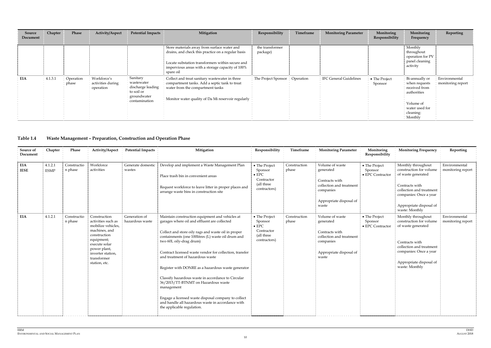| Source<br>Document | Chapter | Phase              | Activity/Aspect                               | <b>Potential Impacts</b>                                                                  | Mitigation                                                                                                                                                                                                             | Responsibility              | Timeframe | <b>Monitoring Parameter</b>   | Monitoring<br>Responsibility | Monitoring<br>Frequency                                                                                                | Reporting                          |
|--------------------|---------|--------------------|-----------------------------------------------|-------------------------------------------------------------------------------------------|------------------------------------------------------------------------------------------------------------------------------------------------------------------------------------------------------------------------|-----------------------------|-----------|-------------------------------|------------------------------|------------------------------------------------------------------------------------------------------------------------|------------------------------------|
|                    |         |                    |                                               |                                                                                           | Store materials away from surface water and<br>drains, and check this practice on a regular basis<br>Locate substation transformers within secure and<br>impervious areas with a storage capacity of 100%<br>spare oil | the transformer<br>package) |           |                               |                              | Monthly<br>throughout<br>operation for PV<br>panel cleaning<br>activity                                                |                                    |
| <b>EIA</b>         | 4.1.3.1 | Operation<br>phase | Workforce's<br>activities during<br>operation | Sanitary<br>wastewater<br>discharge leading<br>to soil or<br>groundwater<br>contamination | Collect and treat sanitary wastewater in three<br>compartment tanks. Add a septic tank to treat<br>water from the compartment tanks<br>Monitor water quality of Da Mi reservoir regularly                              | The Project Sponsor         | Operation | <b>IFC General Guidelines</b> | • The Project<br>Sponsor     | Bi-annually or<br>when requests<br>received from<br>authorities<br>Volume of<br>water used for<br>cleaning:<br>Monthly | Environmental<br>monitoring report |

# **Table 1.4 Waste Management – Preparation, Construction and Operation Phase**

| Source of<br>Document | Chapter                | Phase                  | Activity/Aspect                                                                                                                                                                               | <b>Potential Impacts</b>         | Mitigation                                                                                                                                                                                                                                                                                                                                                                                                                                                                                                                                                                                                                                        | Responsibility                                                                        | Timeframe             | <b>Monitoring Parameter</b>                                                                                                 | Monitoring<br>Responsibility                 | <b>Monitoring Frequency</b>                                                                                                                                                              | Reporting                          |
|-----------------------|------------------------|------------------------|-----------------------------------------------------------------------------------------------------------------------------------------------------------------------------------------------|----------------------------------|---------------------------------------------------------------------------------------------------------------------------------------------------------------------------------------------------------------------------------------------------------------------------------------------------------------------------------------------------------------------------------------------------------------------------------------------------------------------------------------------------------------------------------------------------------------------------------------------------------------------------------------------------|---------------------------------------------------------------------------------------|-----------------------|-----------------------------------------------------------------------------------------------------------------------------|----------------------------------------------|------------------------------------------------------------------------------------------------------------------------------------------------------------------------------------------|------------------------------------|
| EIA<br><b>IESE</b>    | 4.1.2.1<br><b>ESMP</b> | Constructio<br>n phase | Workforce<br>activities                                                                                                                                                                       | Generate domestic<br>wastes      | Develop and implement a Waste Management Plan<br>Place trash bin in convenient areas<br>Request workforce to leave litter in proper places and<br>arrange waste bins in construction site                                                                                                                                                                                                                                                                                                                                                                                                                                                         | • The Project<br>Sponsor<br>$\bullet$ EPC<br>Contractor<br>(all three<br>contractors) | Construction<br>phase | Volume of waste<br>generated<br>Contracts with<br>collection and treatment<br>companies<br>Appropriate disposal of<br>waste | • The Project<br>Sponsor<br>• EPC Contractor | Monthly throughout<br>construction for volume<br>of waste generated<br>Contracts with<br>collection and treatment<br>companies: Once a year<br>Appropriate disposal of<br>waste: Monthly | Environmental<br>monitoring report |
| EIA                   | 4.1.2.1                | Constructio<br>n phase | Construction<br>activities such as<br>mobilize vehicles,<br>machines, and<br>construction<br>equipment;<br>execute solar<br>power plant,<br>inverter station,<br>transformer<br>station, etc. | Generation of<br>hazardous waste | Maintain construction equipment and vehicles at<br>garages where oil and effluent are collected<br>Collect and store oily rags and waste oil in proper<br>containments (one 100litres (L) waste oil drum and<br>two 60L oily-drag drum)<br>Contract licensed waste vendor for collection, transfer<br>and treatment of hazardous waste<br>Register with DONRE as a hazardous waste generator<br>Classify hazardous waste in accordance to Circular<br>36/2015/TT-BTNMT on Hazardous waste<br>management<br>Engage a licensed waste disposal company to collect<br>and handle all hazardous waste in accordance with<br>the applicable regulation. | • The Project<br>Sponsor<br>$\bullet$ EPC<br>Contractor<br>(all three<br>contractors) | Construction<br>phase | Volume of waste<br>generated<br>Contracts with<br>collection and treatment<br>companies<br>Appropriate disposal of<br>waste | • The Project<br>Sponsor<br>• EPC Contractor | Monthly throughout<br>construction for volume<br>of waste generated<br>Contracts with<br>collection and treatment<br>companies: Once a year<br>Appropriate disposal of<br>waste: Monthly | Environmental<br>monitoring report |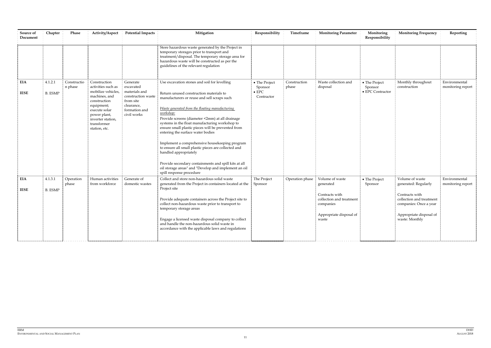| Source of<br>Document     | Chapter                   | Phase                  | Activity/Aspect                                                                                                                                                                               | <b>Potential Impacts</b>                                                                                                | Mitigation                                                                                                                                                                                                                                                                                                                                                                                                                                                                                                                                                                                                                                                                            | Responsibility                                          | Timeframe             | <b>Monitoring Parameter</b>                                                                                                 | Monitoring<br>Responsibility                 | <b>Monitoring Frequency</b>                                                                                                                                  | Reporting                          |
|---------------------------|---------------------------|------------------------|-----------------------------------------------------------------------------------------------------------------------------------------------------------------------------------------------|-------------------------------------------------------------------------------------------------------------------------|---------------------------------------------------------------------------------------------------------------------------------------------------------------------------------------------------------------------------------------------------------------------------------------------------------------------------------------------------------------------------------------------------------------------------------------------------------------------------------------------------------------------------------------------------------------------------------------------------------------------------------------------------------------------------------------|---------------------------------------------------------|-----------------------|-----------------------------------------------------------------------------------------------------------------------------|----------------------------------------------|--------------------------------------------------------------------------------------------------------------------------------------------------------------|------------------------------------|
|                           |                           |                        |                                                                                                                                                                                               |                                                                                                                         | Store hazardous waste generated by the Project in<br>temporary storages prior to transport and<br>treatment/disposal. The temporary storage area for<br>hazardous waste will be constructed as per the<br>guidelines of the relevant regulation                                                                                                                                                                                                                                                                                                                                                                                                                                       |                                                         |                       |                                                                                                                             |                                              |                                                                                                                                                              |                                    |
| EIA<br><b>IESE</b>        | 4.1.2.1<br><b>B.</b> ESMP | Constructio<br>n phase | Construction<br>activities such as<br>mobilize vehicles,<br>machines, and<br>construction<br>equipment;<br>execute solar<br>power plant,<br>inverter station,<br>transformer<br>station, etc. | Generate<br>excavated<br>materials and<br>construction waste<br>from site<br>clearance,<br>formation and<br>civil works | Use excavation stones and soil for levelling<br>Return unused construction materials to<br>manufacturers or reuse and sell scraps such<br>Waste generated from the floating manufacturing<br>workshop:<br>Provide screens (diameter <2mm) at all drainage<br>systems in the float manufacturing workshop to<br>ensure small plastic pieces will be prevented from<br>entering the surface water bodies<br>Implement a comprehensive housekeeping program<br>to ensure all small plastic pieces are collected and<br>handled appropriately<br>Provide secondary containments and spill kits at all<br>oil storage areas" and "Develop and implement an oil<br>spill response procedure | • The Project<br>Sponsor<br>$\bullet$ EPC<br>Contractor | Construction<br>phase | Waste collection and<br>disposal                                                                                            | • The Project<br>Sponsor<br>• EPC Contractor | Monthly throughout<br>construction                                                                                                                           | Environmental<br>monitoring report |
| <b>EIA</b><br><b>IESE</b> | 4.1.3.1<br><b>B.</b> ESMP | Operation<br>phase     | Human activities<br>from workforce                                                                                                                                                            | Generate of<br>domestic wastes                                                                                          | Collect and store non-hazardous solid waste<br>generated from the Project in containers located at the<br>Project site<br>Provide adequate containers across the Project site to<br>collect non-hazardous waste prior to transport to<br>temporary storage areas<br>Engage a licensed waste disposal company to collect<br>and handle the non-hazardous solid waste in<br>accordance with the applicable laws and regulations                                                                                                                                                                                                                                                         | The Project<br>Sponsor                                  | Operation phase       | Volume of waste<br>generated<br>Contracts with<br>collection and treatment<br>companies<br>Appropriate disposal of<br>waste | • The Project<br>Sponsor                     | Volume of waste<br>generated: Regularly<br>Contracts with<br>collection and treatment<br>companies: Once a year<br>Appropriate disposal of<br>waste: Monthly | Environmental<br>monitoring report |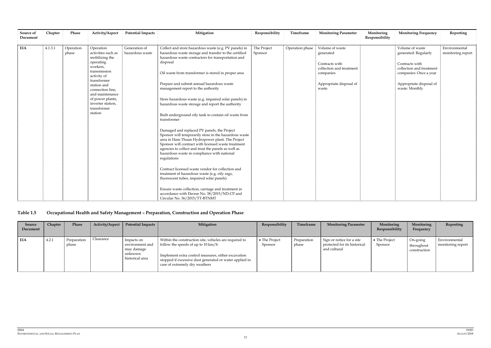| Source of<br>Document | Chapter | Phase              | Activity/Aspect                                                                                                                                                                                                                                   | <b>Potential Impacts</b>         | Mitigation                                                                                                                                                                                                                                                                                                                                                                                                                                                                                                                                                                                                                                                                                                                                                                                                                                                                                                                                                                                                                                                                                                                                       | Responsibility         | Timeframe       | <b>Monitoring Parameter</b>                                                                                                 | Monitoring<br>Responsibility | <b>Monitoring Frequency</b>                                                                                                                                  | Reporting                          |
|-----------------------|---------|--------------------|---------------------------------------------------------------------------------------------------------------------------------------------------------------------------------------------------------------------------------------------------|----------------------------------|--------------------------------------------------------------------------------------------------------------------------------------------------------------------------------------------------------------------------------------------------------------------------------------------------------------------------------------------------------------------------------------------------------------------------------------------------------------------------------------------------------------------------------------------------------------------------------------------------------------------------------------------------------------------------------------------------------------------------------------------------------------------------------------------------------------------------------------------------------------------------------------------------------------------------------------------------------------------------------------------------------------------------------------------------------------------------------------------------------------------------------------------------|------------------------|-----------------|-----------------------------------------------------------------------------------------------------------------------------|------------------------------|--------------------------------------------------------------------------------------------------------------------------------------------------------------|------------------------------------|
| <b>EIA</b>            | 4.1.3.1 | Operation<br>phase | Operation<br>activities such as<br>mobilizing the<br>operating<br>workers,<br>transmission<br>activity of<br>transformer<br>station and<br>connection line,<br>and maintenance<br>of power plants,<br>inverter station,<br>transformer<br>station | Generation of<br>hazardous waste | Collect and store hazardous waste (e.g. PV panels) in<br>hazardous waste storage and transfer to the certified<br>hazardous waste contractors for transportation and<br>disposal<br>Oil waste from transformer is stored in proper area<br>Prepare and submit annual hazardous waste<br>management report to the authority<br>Store hazardous waste (e.g. impaired solar panels) in<br>hazardous waste storage and report the authority<br>Built underground oily tank to contain oil waste from<br>transformer<br>Damaged and replaced PV panels, the Project<br>Sponsor will temporarily store in the hazardous waste<br>area in Ham Thuan Hydropower plant. The Project<br>Sponsor will contract with licensed waste treatment<br>agencies to collect and treat the panels as well as<br>hazardous waste in compliance with national<br>regulations<br>Contract licensed waste vendor for collection and<br>treatment of hazardous waste (e.g. oily rags,<br>fluorescent tubes, impaired solar panels)<br>Ensure waste collection, carriage and treatment in<br>accordance with Decree No. 38/2015/ND-CP and<br>Circular No. 36/2015/TT-BTNMT | The Project<br>Sponsor | Operation phase | Volume of waste<br>generated<br>Contracts with<br>collection and treatment<br>companies<br>Appropriate disposal of<br>waste |                              | Volume of waste<br>generated: Regularly<br>Contracts with<br>collection and treatment<br>companies: Once a year<br>Appropriate disposal of<br>waste: Monthly | Environmental<br>monitoring report |

# **Table 1.5 Occupational Health and Safety Management – Preparation, Construction and Operation Phase**

| Source<br>Document | Chapter | Phase                | Activity/Aspect | <b>Potential Impacts</b>                                                  | Mitigation                                                                                                                                                                                                                                                 | Responsibility           | Timeframe            | <b>Monitoring Parameter</b>                                               | Monitoring<br>Responsibility | Monitoring<br>Frequency                | Reporting                          |
|--------------------|---------|----------------------|-----------------|---------------------------------------------------------------------------|------------------------------------------------------------------------------------------------------------------------------------------------------------------------------------------------------------------------------------------------------------|--------------------------|----------------------|---------------------------------------------------------------------------|------------------------------|----------------------------------------|------------------------------------|
| EIA                | 4.2.1   | Preparation<br>phase | Clearance       | Impacts on<br>environment and<br>may damage<br>unknown<br>historical area | Within the construction site, vehicles are required to<br>follow the speeds of up to $10 \text{ km/h}$<br>Implement extra control measures, either excavation<br>stopped if excessive dust generated or water applied in<br>case of extremely dry weathers | • The Project<br>Sponsor | Preparation<br>phase | Sign or notice for a site<br>protected for its historical<br>and cultural | • The Project<br>Sponsor     | On-going<br>throughout<br>construction | Environmental<br>monitoring report |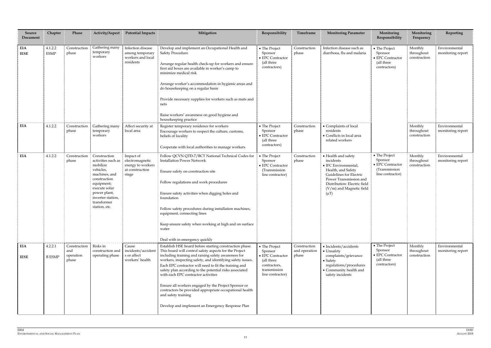| <b>Source</b><br>Document | Chapter                  | Phase                                     | Activity/Aspect                                                                                                                                                                                  | <b>Potential Impacts</b>                                                      | Mitigation                                                                                                                                                                                                                                                                                                                                                                                                                                                                                                                                                                                      | Responsibility                                                                                                         | Timeframe                              | <b>Monitoring Parameter</b>                                                                                                                                                                                  | Monitoring<br>Responsibility                                                       | Monitoring<br>Frequency               | Reporting                          |
|---------------------------|--------------------------|-------------------------------------------|--------------------------------------------------------------------------------------------------------------------------------------------------------------------------------------------------|-------------------------------------------------------------------------------|-------------------------------------------------------------------------------------------------------------------------------------------------------------------------------------------------------------------------------------------------------------------------------------------------------------------------------------------------------------------------------------------------------------------------------------------------------------------------------------------------------------------------------------------------------------------------------------------------|------------------------------------------------------------------------------------------------------------------------|----------------------------------------|--------------------------------------------------------------------------------------------------------------------------------------------------------------------------------------------------------------|------------------------------------------------------------------------------------|---------------------------------------|------------------------------------|
| <b>EIA</b><br><b>IESE</b> | 4.1.2.2<br><b>ESMP</b>   | Construction<br>phase                     | Gathering many<br>temporary<br>workers                                                                                                                                                           | Infection disease<br>among temporary<br>workers and local<br>residents        | Develop and implement an Occupational Health and<br>Safety Procedure<br>Arrange regular health check-up for workers and ensure<br>first aid boxes are available in worker's camp to<br>minimize medical risk<br>Arrange worker's accommodation in hygienic areas and<br>do housekeeping on a regular basis<br>Provide necessary supplies for workers such as mats and<br>nets<br>Raise workers' awareness on good hygiene and<br>housekeeping practice                                                                                                                                          | • The Project<br>Sponsor<br>• EPC Contractor<br>(all three<br>contractors)                                             | Construction<br>phase                  | Infection disease such as<br>diarrhoea, flu and malaria                                                                                                                                                      | • The Project<br>Sponsor<br>• EPC Contractor<br>(all three<br>contractors)         | Monthly<br>throughout<br>construction | Environmental<br>monitoring report |
| <b>EIA</b>                | 4.1.2.2                  | Construction<br>phase                     | Gathering many<br>temporary<br>workers                                                                                                                                                           | Affect security at<br>local area                                              | Register temporary residence for workers<br>Encourage workers to respect the culture, customs,<br>beliefs of locality<br>Cooperate with local authorities to manage workers                                                                                                                                                                                                                                                                                                                                                                                                                     | • The Project<br>Sponsor<br>$\bullet$ EPC Contractor<br>(all three<br>contractors)                                     | Construction<br>phase                  | • Complaints of local<br>residents<br>• Conflicts in local area<br>related workers                                                                                                                           |                                                                                    | Monthly<br>throughout<br>construction | Environmental<br>monitoring report |
| EIA                       | 4.1.2.2                  | Construction<br>phase                     | Construction<br>activities such as<br>mobilize<br>vehicles,<br>machines, and<br>construction<br>equipment;<br>execute solar<br>power plant,<br>inverter station,<br>transformer<br>station, etc. | Impact of<br>electromagnetic<br>energy to workers<br>at construction<br>stage | Follow QCVN QTĐ-7/BCT National Technical Codes for<br><b>Installation Power Network</b><br>Ensure safety on construction site<br>Follow regulations and work procedures<br>Ensure safety activities when digging holes and<br>foundation<br>Follow safety procedures during installation machines,<br>equipment, connecting lines<br>Keep ensure safety when working at high and on surface<br>water<br>Deal with in emergency quickly                                                                                                                                                          | • The Project<br>Sponsor<br>• EPC Contractor<br>(Transmission<br>line contractor)                                      | Construction<br>phase                  | • Health and safety<br>incidents<br>• IFC Environmental,<br>Health, and Safety<br>Guidelines for Electric<br>Power Transmission and<br>Distribution: Electric field<br>(V/m) and Magnetic field<br>$(\mu T)$ | • The Project<br>Sponsor<br>• EPC Contractor<br>(Transmission)<br>line contractor) | Monthly<br>throughout<br>construction | Environmental<br>monitoring report |
| EIA<br><b>IESE</b>        | 4.2.2.1<br><b>B</b> ESMP | Construction<br>and<br>operation<br>phase | Risks in<br>construction and<br>operating phase                                                                                                                                                  | Cause<br>incidents/accident<br>s or affect<br>workers' health                 | Establish HSE board before starting construction phase.<br>This board will control safety aspects for the Project<br>including training and raising safety awareness for<br>workers, inspecting safety, and identifying safety issues.<br>Each EPC contractor will need to fit the training and<br>safety plan according to the potential risks associated<br>with each EPC contractor activities<br>Ensure all workers engaged by the Project Sponsor or<br>contractors be provided appropriate occupational health<br>and safety training<br>Develop and implement an Emergency Response Plan | • The Project<br>Sponsor<br>$\bullet$ EPC Contractor<br>(all three<br>contractors,<br>transmission<br>line contractor) | Construction<br>and operation<br>phase | • Incidents/accidents<br>• Unsafety<br>complaints/grievance<br>$\bullet$ Safety<br>regulations/procedures<br>• Community health and<br>safety incidents                                                      | • The Project<br>Sponsor<br>$\bullet$ EPC Contractor<br>(all three<br>contractors) | Monthly<br>throughout<br>construction | Environmental<br>monitoring report |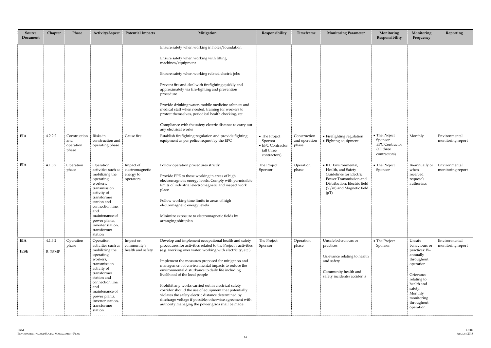| Source<br>Document        | Chapter                   | Phase                                     | Activity/Aspect                                                                                                                                                                                                                                      | <b>Potential Impacts</b>                               | Mitigation                                                                                                                                                                                                                                                                                                                                                                                                                                                                                                                                                                                                                                                                 | Responsibility                                                             | Timeframe                              | <b>Monitoring Parameter</b>                                                                                                                                              | Monitoring<br>Responsibility                                                    | Monitoring<br>Frequency                                                                                                                                                                   | Reporting                          |
|---------------------------|---------------------------|-------------------------------------------|------------------------------------------------------------------------------------------------------------------------------------------------------------------------------------------------------------------------------------------------------|--------------------------------------------------------|----------------------------------------------------------------------------------------------------------------------------------------------------------------------------------------------------------------------------------------------------------------------------------------------------------------------------------------------------------------------------------------------------------------------------------------------------------------------------------------------------------------------------------------------------------------------------------------------------------------------------------------------------------------------------|----------------------------------------------------------------------------|----------------------------------------|--------------------------------------------------------------------------------------------------------------------------------------------------------------------------|---------------------------------------------------------------------------------|-------------------------------------------------------------------------------------------------------------------------------------------------------------------------------------------|------------------------------------|
|                           |                           |                                           |                                                                                                                                                                                                                                                      |                                                        | Ensure safety when working in holes/foundation<br>Ensure safety when working with lifting<br>machines/equipment<br>Ensure safety when working related electric jobs<br>Prevent fire and deal with firefighting quickly and<br>approximately via fire-fighting and prevention<br>procedure<br>Provide drinking water, mobile medicine cabinets and<br>medical staff when needed, training for workers to<br>protect themselves, periodical health checking, etc.<br>Compliance with the safety electric distance to carry out                                                                                                                                               |                                                                            |                                        |                                                                                                                                                                          |                                                                                 |                                                                                                                                                                                           |                                    |
| EIA                       | 4.2.2.2                   | Construction<br>and<br>operation<br>phase | Risks in<br>construction and<br>operating phase                                                                                                                                                                                                      | Cause fire                                             | any electrical works<br>Establish firefighting regulation and provide fighting<br>equipment as per police request by the EPC                                                                                                                                                                                                                                                                                                                                                                                                                                                                                                                                               | • The Project<br>Sponsor<br>• EPC Contractor<br>(all three<br>contractors) | Construction<br>and operation<br>phase | • Firefighting regulation<br>• Fighting equipment                                                                                                                        | • The Project<br>Sponsor<br><b>EPC</b> Contractor<br>(all three<br>contractors) | Monthly                                                                                                                                                                                   | Environmental<br>monitoring report |
| <b>EIA</b>                | 4.1.3.2                   | Operation<br>phase                        | Operation<br>activities such as<br>mobilizing the<br>operating<br>workers,<br>transmission<br>activity of<br>transformer<br>station and<br>connection line,<br>and<br>maintenance of<br>power plants,<br>inverter station,<br>transformer<br>station | Impact of<br>electromagnetic<br>energy to<br>operators | Follow operation procedures strictly<br>Provide PPE to those working in areas of high<br>electromagnetic energy levels. Comply with permissible<br>limits of industrial electromagnetic and inspect work<br>place<br>Follow working time limits in areas of high<br>electromagnetic energy levels<br>Minimize exposure to electromagnetic fields by<br>arranging shift plan                                                                                                                                                                                                                                                                                                | The Project<br>Sponsor                                                     | Operation<br>phase                     | • IFC Environmental,<br>Health, and Safety<br>Guidelines for Electric<br>Power Transmission and<br>Distribution: Electric field<br>(V/m) and Magnetic field<br>$(\mu T)$ | • The Project<br>Sponsor                                                        | Bi-annually or<br>when<br>received<br>request's<br>authorizes                                                                                                                             | Environmental<br>monitoring report |
| <b>EIA</b><br><b>IESE</b> | 4.1.3.2<br><b>B.</b> ESMP | Operation<br>phase                        | Operation<br>activities such as<br>mobilizing the<br>operating<br>workers,<br>transmission<br>activity of<br>transformer<br>station and<br>connection line,<br>and<br>maintenance of<br>power plants,<br>inverter station,<br>transformer<br>station | Impact on<br>community's<br>health and safety          | Develop and implement occupational health and safety<br>procedures for activities related to the Project's activities<br>(e.g. working over water, working with electricity, etc.)<br>Implement the measures proposed for mitigation and<br>management of environmental impacts to reduce the<br>environmental disturbance to daily life including<br>livelihood of the local people<br>Prohibit any works carried out in electrical safety<br>corridor should the use of equipment that potentially<br>violates the safety electric distance determined by<br>discharge voltage if possible; otherwise agreement with<br>authority managing the power grids shall be made | The Project<br>Sponsor                                                     | Operation<br>phase                     | Unsafe behaviours or<br>practices<br>Grievance relating to health<br>and safety<br>Community health and<br>safety incidents/accidents                                    | • The Project<br>Sponsor                                                        | Unsafe<br>behaviours or<br>practices: Bi-<br>annually<br>throughout<br>operation<br>Grievance<br>relating to<br>health and<br>safety:<br>Monthly<br>monitoring<br>throughout<br>operation | Environmental<br>monitoring report |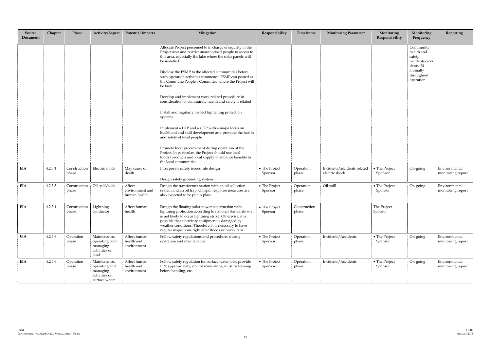| Source<br>Document | Chapter | Phase                 | Activity/Aspect                                                             | <b>Potential Impacts</b>                  | Mitigation                                                                                                                                                                                                                                                                                                                                          | Responsibility           | Timeframe             | <b>Monitoring Parameter</b>                   | Monitoring<br>Responsibility | Monitoring<br>Frequency                                           | Reporting                          |
|--------------------|---------|-----------------------|-----------------------------------------------------------------------------|-------------------------------------------|-----------------------------------------------------------------------------------------------------------------------------------------------------------------------------------------------------------------------------------------------------------------------------------------------------------------------------------------------------|--------------------------|-----------------------|-----------------------------------------------|------------------------------|-------------------------------------------------------------------|------------------------------------|
|                    |         |                       |                                                                             |                                           | Allocate Project personnel to in charge of security in the<br>Project area and restrict unauthorised people to access to<br>this area, especially the lake where the solar panels will<br>be installed                                                                                                                                              |                          |                       |                                               |                              | Community<br>health and<br>safety<br>incidents/acci<br>dents: Bi- |                                    |
|                    |         |                       |                                                                             |                                           | Disclose the ESMP to the affected communities before<br>such operation activities commence. ESMP can posted at<br>the Commune People's Committee where the Project will<br>be built                                                                                                                                                                 |                          |                       |                                               |                              | annually<br>throughout<br>operation                               |                                    |
|                    |         |                       |                                                                             |                                           | Develop and implement work related procedure in<br>consideration of community health and safety if related                                                                                                                                                                                                                                          |                          |                       |                                               |                              |                                                                   |                                    |
|                    |         |                       |                                                                             |                                           | Install and regularly inspect lightening protection<br>systems                                                                                                                                                                                                                                                                                      |                          |                       |                                               |                              |                                                                   |                                    |
|                    |         |                       |                                                                             |                                           | Implement a LRP and a CDP with a major focus on<br>livelihood and skill development and promote the health<br>and safety of local people                                                                                                                                                                                                            |                          |                       |                                               |                              |                                                                   |                                    |
|                    |         |                       |                                                                             |                                           | Promote local procurement during operation of the<br>Project. In particular, the Project should use local<br>foods/products and local supply to enhance benefits to<br>the local communities                                                                                                                                                        |                          |                       |                                               |                              |                                                                   |                                    |
| EIA                | 4.2.3.1 | Construction<br>phase | Electric shock                                                              | May cause of<br>death                     | Incorporate safety issues into design<br>Design safely grounding system                                                                                                                                                                                                                                                                             | • The Project<br>Sponsor | Operation<br>phase    | Incidents/accidents related<br>electric shock | • The Project<br>Sponsor     | On-going                                                          | Environmental<br>monitoring report |
| EIA                | 4.2.3.3 | Construction<br>phase | Oil spill/slick                                                             | Affect<br>environment and<br>human health | Design the transformer station with an oil collection<br>system and an oil trap. Oil spill response measures are<br>also expected to be put in place                                                                                                                                                                                                | • The Project<br>Sponsor | Operation<br>phase    | Oil spill                                     | • The Project<br>Sponsor     | On-going                                                          | Environmental<br>monitoring report |
| EIA                | 4.2.3.4 | Construction<br>phase | Lightning<br>conductor                                                      | Affect human<br>health                    | Design the floating solar power construction with<br>lightning protection according to national standards so it<br>is not likely to occur lightning strike. Otherwise, it is<br>possible that electricity equipment is damaged by<br>weather conditions. Therefore, it is necessary to have<br>regular inspections right after floods or heavy rain | • The Project<br>Sponsor | Construction<br>phase |                                               | The Project<br>Sponsor       |                                                                   |                                    |
| EIA                | 4.2.3.6 | Operation<br>phase    | Maintenance,<br>operating, and<br>managing<br>activities on<br>land         | Affect human<br>health and<br>environment | Follow safety regulations and procedures during<br>operation and maintenance                                                                                                                                                                                                                                                                        | • The Project<br>Sponsor | Operation<br>phase    | Incidents/Accidents                           | • The Project<br>Sponsor     | On-going                                                          | Environmental<br>monitoring report |
| EIA                | 4.2.3.6 | Operation<br>phase    | Maintenance,<br>operating and<br>managing<br>activities on<br>surface water | Affect human<br>health and<br>environment | Follow safety regulation for surface water jobs: provide<br>PPE appropriately, do not work alone, must be training<br>before handing, etc.                                                                                                                                                                                                          | • The Project<br>Sponsor | Operation<br>phase    | Incidents/Accidents                           | • The Project<br>Sponsor     | On-going                                                          | Environmental<br>monitoring report |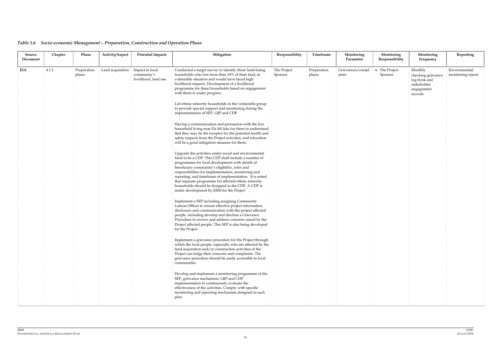# *Table 1.6 Socio-economic Management – Preparation, Construction and Operation Phase*

| Source<br>Document | Chapter | Phase                | Activity/Aspect  | <b>Potential Impacts</b>                               | Mitigation                                                                                                                                                                                                                                                                                                                                                                                                                                                                                                                                                                                                                                                                                                                                                                                                                                                                                                                                                                                                                                                                                                                                                                                                                                                                                                                                                                                                                                                                                                                                                                                                                                                                                                                                                                                                                                                                                                                                                     | Responsibility         | Timeframe            | Monitoring<br>Parameter   | Monitoring<br>Responsibility | Monitoring<br>Frequency                                                               | Reporting                          |
|--------------------|---------|----------------------|------------------|--------------------------------------------------------|----------------------------------------------------------------------------------------------------------------------------------------------------------------------------------------------------------------------------------------------------------------------------------------------------------------------------------------------------------------------------------------------------------------------------------------------------------------------------------------------------------------------------------------------------------------------------------------------------------------------------------------------------------------------------------------------------------------------------------------------------------------------------------------------------------------------------------------------------------------------------------------------------------------------------------------------------------------------------------------------------------------------------------------------------------------------------------------------------------------------------------------------------------------------------------------------------------------------------------------------------------------------------------------------------------------------------------------------------------------------------------------------------------------------------------------------------------------------------------------------------------------------------------------------------------------------------------------------------------------------------------------------------------------------------------------------------------------------------------------------------------------------------------------------------------------------------------------------------------------------------------------------------------------------------------------------------------------|------------------------|----------------------|---------------------------|------------------------------|---------------------------------------------------------------------------------------|------------------------------------|
| EIA                | 4.1.1   | Preparation<br>phase | Land acquisition | Impact to local<br>community's<br>livelihood, land use | Conducted a target survey to identify those land-losing<br>households who lost more than 10% of their land, in<br>vulnerable situation and would have faced high<br>livelihood impacts. Development of a livelihood<br>programme for these households based on engagement<br>with them is under progress<br>List ethnic minority households in the vulnerable group<br>to provide special support and monitoring during the<br>implementation of SEP, LRP and CDP<br>Having a communication and persuasion with the five<br>household living near Da Mi lake for them to understand<br>that they may be the receptor for the potential health and<br>safety impacts from the Project activities, and relocation<br>will be a good mitigation measure for them.<br>Upgrade the activities under social and environmental<br>fund to be a CDP. This CDP shall include a number of<br>programmes for local development with details of<br>beneficiary community's eligibility, roles and<br>responsibilities for implementation, monitoring and<br>reporting, and timeframe of implementation. It is noted<br>that separate programme for affected ethnic minority<br>households should be designed in the CDP. A CDP is<br>under development by ERM for the Project<br>Implement a SEP including assigning Community<br>Liaison Officer to ensure effective project information<br>disclosure and communication with the project affected<br>people, including develop and disclose a Grievance<br>Procedure to receive and address concerns raised by the<br>Project affected people. This SEP is also being developed<br>for the Project<br>Implement a grievance procedure for the Project through<br>which the local people, especially who are affected by the<br>land acquisition and/or construction activities of the<br>Project can lodge their concerns and complaints. The<br>grievance procedure should be easily accessible to local<br>communities | The Project<br>Sponsor | Preparation<br>phase | Grievances/compl<br>aints | • The Project<br>Sponsor     | Monthly<br>checking grievance<br>log book and<br>stakeholder<br>engagement<br>records | Environmental<br>monitoring report |
|                    |         |                      |                  |                                                        | Develop and implement a monitoring programme of the<br>SEP, grievance mechanism, LRP and CDP<br>implementation to continuously evaluate the<br>effectiveness of the activities. Comply with specific<br>monitoring and reporting mechanism designed in each<br>plan                                                                                                                                                                                                                                                                                                                                                                                                                                                                                                                                                                                                                                                                                                                                                                                                                                                                                                                                                                                                                                                                                                                                                                                                                                                                                                                                                                                                                                                                                                                                                                                                                                                                                            |                        |                      |                           |                              |                                                                                       |                                    |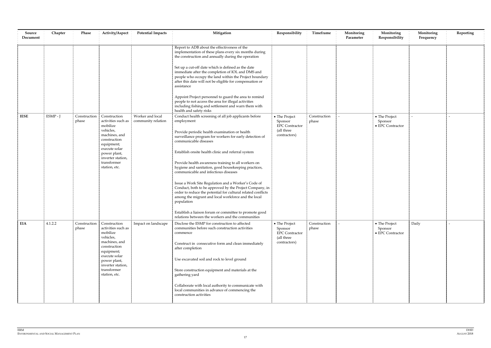| Source<br>Document | Chapter | Phase                 | Activity/Aspect                                                                                                                                                                                  | <b>Potential Impacts</b>               | Mitigation                                                                                                                                                                                                                                                                                                                                                                                                                                                                                                                                                                                                                                                                                                                                                                                  | Responsibility                                                                  | Timeframe             | Monitoring<br>Parameter | Monitoring<br>Responsibility                 | Monitoring<br>Frequency | Reporting |
|--------------------|---------|-----------------------|--------------------------------------------------------------------------------------------------------------------------------------------------------------------------------------------------|----------------------------------------|---------------------------------------------------------------------------------------------------------------------------------------------------------------------------------------------------------------------------------------------------------------------------------------------------------------------------------------------------------------------------------------------------------------------------------------------------------------------------------------------------------------------------------------------------------------------------------------------------------------------------------------------------------------------------------------------------------------------------------------------------------------------------------------------|---------------------------------------------------------------------------------|-----------------------|-------------------------|----------------------------------------------|-------------------------|-----------|
|                    |         |                       |                                                                                                                                                                                                  |                                        | Report to ADB about the effectiveness of the<br>implementation of these plans every six months during<br>the construction and annually during the operation                                                                                                                                                                                                                                                                                                                                                                                                                                                                                                                                                                                                                                 |                                                                                 |                       |                         |                                              |                         |           |
|                    |         |                       |                                                                                                                                                                                                  |                                        | Set up a cut-off date which is defined as the date<br>immediate after the completion of IOL and DMS and<br>people who occupy the land within the Project boundary<br>after this date will not be eligible for compensation or<br>assistance                                                                                                                                                                                                                                                                                                                                                                                                                                                                                                                                                 |                                                                                 |                       |                         |                                              |                         |           |
|                    |         |                       |                                                                                                                                                                                                  |                                        | Appoint Project personnel to guard the area to remind<br>people to not access the area for illegal activities<br>including fishing and settlement and warn them with<br>health and safety risks                                                                                                                                                                                                                                                                                                                                                                                                                                                                                                                                                                                             |                                                                                 |                       |                         |                                              |                         |           |
| <b>IESE</b>        | ESMP-J  | Construction<br>phase | Construction<br>activities such as<br>mobilize<br>vehicles,<br>machines, and<br>construction<br>equipment;<br>execute solar<br>power plant,<br>inverter station,<br>transformer<br>station, etc. | Worker and local<br>community relation | Conduct health screening of all job applicants before<br>employment<br>Provide periodic health examination or health<br>surveillance program for workers for early detection of<br>communicable diseases<br>Establish onsite health clinic and referral system<br>Provide health awareness training to all workers on<br>hygiene and sanitation, good housekeeping practices,<br>communicable and infectious diseases<br>Issue a Work Site Regulation and a Worker's Code of<br>Conduct, both to be approved by the Project Company, in<br>order to reduce the potential for cultural related conflicts<br>among the migrant and local workforce and the local<br>population<br>Establish a liaison forum or committee to promote good<br>relations between the workers and the communities | • The Project<br>Sponsor<br><b>EPC</b> Contractor<br>(all three<br>contractors) | Construction<br>phase |                         | • The Project<br>Sponsor<br>• EPC Contractor |                         |           |
| EIA                | 4.1.2.2 | Construction<br>phase | Construction<br>activities such as<br>mobilize<br>vehicles,<br>machines, and<br>construction<br>equipment;<br>execute solar<br>power plant,<br>inverter station,<br>transformer<br>station, etc. | Impact on landscape                    | Disclose the ESMP for construction to affected<br>communities before such construction activities<br>commence<br>Construct in consecutive form and clean immediately<br>after completion<br>Use excavated soil and rock to level ground<br>Store construction equipment and materials at the<br>gathering yard<br>Collaborate with local authority to communicate with<br>local communities in advance of commencing the<br>construction activities                                                                                                                                                                                                                                                                                                                                         | • The Project<br>Sponsor<br><b>EPC Contractor</b><br>(all three<br>contractors) | Construction<br>phase |                         | • The Project<br>Sponsor<br>• EPC Contractor | Daily                   |           |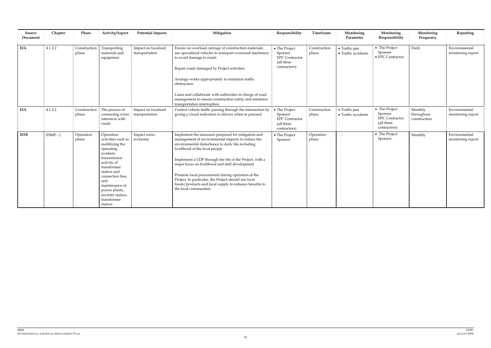| Source<br>Document | Chapter  | Phase                 | Activity/Aspect                                                                                                                                                                                                                                      | <b>Potential Impacts</b>              | Mitigation                                                                                                                                                                                                                                                                                                                                                                                                                                                                                                   | Responsibility                                                                  | Timeframe             | Monitoring<br>Parameter              | Monitoring<br>Responsibility                                                    | Monitoring<br>Frequency               | Reporting                          |
|--------------------|----------|-----------------------|------------------------------------------------------------------------------------------------------------------------------------------------------------------------------------------------------------------------------------------------------|---------------------------------------|--------------------------------------------------------------------------------------------------------------------------------------------------------------------------------------------------------------------------------------------------------------------------------------------------------------------------------------------------------------------------------------------------------------------------------------------------------------------------------------------------------------|---------------------------------------------------------------------------------|-----------------------|--------------------------------------|---------------------------------------------------------------------------------|---------------------------------------|------------------------------------|
| <b>EIA</b>         | 4.1.2.2  | Construction<br>phase | Transporting<br>materials and<br>equipment                                                                                                                                                                                                           | Impact on localized<br>transportation | Ensure no overload carriage of construction materials;<br>use specialized vehicles to transport oversized machinery<br>to avoid damage to roads<br>Repair roads damaged by Project activities<br>Arrange works appropriately to minimize traffic<br>obstruction<br>Liaise and collaborate with authorities in charge of road<br>management to ensure construction safety and minimize<br>transportation interruption                                                                                         | • The Project<br>Sponsor<br><b>EPC</b> Contractor<br>(all three<br>contractors) | Construction<br>phase | • Traffic jam<br>• Traffic accidents | • The Project<br>Sponsor<br>• EPC Contractor                                    | Daily                                 | Environmental<br>monitoring report |
| <b>EIA</b>         | 4.1.2.2  | Construction<br>phase | The process of<br>connecting wires<br>intersects with<br>roads                                                                                                                                                                                       | Impact on localized<br>transportation | Control vehicle traffic passing through the intersection by<br>giving a visual indication to drivers when to proceed                                                                                                                                                                                                                                                                                                                                                                                         | • The Project<br>Sponsor<br><b>EPC</b> Contractor<br>(all three<br>contractors) | Construction<br>phase | • Traffic jam<br>• Traffic accidents | • The Project<br>Sponsor<br><b>EPC</b> Contractor<br>(all three<br>contractors) | Monthly<br>throughout<br>construction | Environmental<br>monitoring report |
| <b>IESE</b>        | ESMP - J | Operation<br>phase    | Operation<br>activities such as<br>mobilizing the<br>operating<br>workers,<br>transmission<br>activity of<br>transformer<br>station and<br>connection line,<br>and<br>maintenance of<br>power plants,<br>inverter station,<br>transformer<br>station | Impact socio-<br>economic             | Implement the measures proposed for mitigation and<br>management of environmental impacts to reduce the<br>environmental disturbance to daily life including<br>livelihood of the local people<br>Implement a CDP through the life of the Project, with a<br>major focus on livelihood and skill development<br>Promote local procurement during operation of the<br>Project. In particular, the Project should use local<br>foods/products and local supply to enhance benefits to<br>the local communities | • The Project<br>Sponsor                                                        | Operation<br>phase    | $\overline{\phantom{a}}$             | • The Project<br>Sponsor                                                        | Monthly                               | Environmental<br>monitoring report |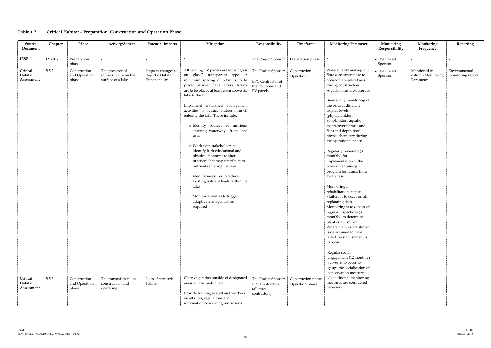# **Table 1.7 Critical Habitat – Preparation, Construction and Operation Phase**

| Source<br>Document                | Chapter | Phase                                  | Activity/Aspect                                               | <b>Potential Impacts</b>                               | Mitigation                                                                                                                                                                                                                                                                                                                                                                                                                                                                                                                                                                                                                                                                                                                                     | Responsibility                                                              | Timeframe                             | <b>Monitoring Parameter</b>                                                                                                                                                                                                                                                                                                                                                                                                                                                                                                                                                                                                                                                                                                                                                                                                                                                                                                              | Monitoring<br>Responsibility | Monitoring<br>Frequency                        | Reporting                          |
|-----------------------------------|---------|----------------------------------------|---------------------------------------------------------------|--------------------------------------------------------|------------------------------------------------------------------------------------------------------------------------------------------------------------------------------------------------------------------------------------------------------------------------------------------------------------------------------------------------------------------------------------------------------------------------------------------------------------------------------------------------------------------------------------------------------------------------------------------------------------------------------------------------------------------------------------------------------------------------------------------------|-----------------------------------------------------------------------------|---------------------------------------|------------------------------------------------------------------------------------------------------------------------------------------------------------------------------------------------------------------------------------------------------------------------------------------------------------------------------------------------------------------------------------------------------------------------------------------------------------------------------------------------------------------------------------------------------------------------------------------------------------------------------------------------------------------------------------------------------------------------------------------------------------------------------------------------------------------------------------------------------------------------------------------------------------------------------------------|------------------------------|------------------------------------------------|------------------------------------|
| <b>IESE</b>                       | ESMP-J  | Preparation<br>phase                   |                                                               |                                                        |                                                                                                                                                                                                                                                                                                                                                                                                                                                                                                                                                                                                                                                                                                                                                | The Project Sponsor                                                         | Preparation phase                     |                                                                                                                                                                                                                                                                                                                                                                                                                                                                                                                                                                                                                                                                                                                                                                                                                                                                                                                                          | • The Project<br>Sponsor     |                                                |                                    |
| Critical<br>Habitat<br>Assessment | 5.5.2   | Construction<br>and Operation<br>phase | The presence of<br>infrastructure on the<br>surface of a lake | Impacts changes to<br>Aquatic Habitat<br>Functionality | All floating PV panels are to be "glass<br>on glass" transparent type. A<br>minimum spacing of 50cm is to be<br>placed between panel arrays. Arrays<br>are to be placed at least 20cm above the   PV panels<br>lake surface<br>Implement watershed management<br>activities to reduce nutrient runoff<br>entering the lake. These include:<br>o Identify sources of nutrients<br>entering waterways from land<br>uses<br>o Work with stakeholders to<br>identify both educational and<br>physical measures to alter<br>practices that may contribute to<br>nutrients entering the lake<br>o Identify measures to reduce<br>existing nutrient loads within the<br>lake<br>o Monitor activities to trigger<br>adaptive management as<br>required | The Project Sponsor<br>EPC Contractor of<br>the Pontoons and                | Construction<br>Operation             | Water quality and aquatic<br>flora assessments are to<br>occur on a weekly basis<br>during construction.<br>Algal blooms are observed<br>Bi-annually monitoring of<br>the biota at different<br>trophic levels<br>(phytoplankton,<br>zooplankton, aquatic<br>macroinvertebrates and<br>fish) and depth profile<br>physio chemistry during<br>the operational phase<br>Regularly reviewed (3<br>monthly) for<br>implementation of the<br>workforce training<br>program for fauna/flora<br>awareness<br>Monitoring if<br>rehabilitation success<br>/failure is to occur on all<br>replanting sites.<br>Monitoring is to consist of<br>regular inspections (3<br>monthly) to determine<br>plant establishment.<br>Where plant establishment<br>is determined to have<br>failed, reestablishment is<br>to occur<br>Regular social<br>engagement (12 monthly)<br>survey is to occur to<br>gauge the socialization of<br>conservation measures | • The Project<br>Sponsor     | Mentioned in<br>column Monitoring<br>Parameter | Environmental<br>monitoring report |
| Critical<br>Habitat<br>Assessment | 5.5.3   | Construction<br>and Operation<br>phase | The transmission line<br>construction and<br>operating        | Loss of terrestrial<br>habitat                         | Clear vegetation outside of designated<br>areas will be prohibited<br>Provide training to staff and workers                                                                                                                                                                                                                                                                                                                                                                                                                                                                                                                                                                                                                                    | The Project Sponsor<br><b>EPC Contractors</b><br>(all three<br>contractors) | Construction phase<br>Operation phase | No additional monitoring<br>measures are considered<br>necessary                                                                                                                                                                                                                                                                                                                                                                                                                                                                                                                                                                                                                                                                                                                                                                                                                                                                         |                              |                                                |                                    |
|                                   |         |                                        |                                                               |                                                        | on all rules, regulations and<br>information concerning restrictions                                                                                                                                                                                                                                                                                                                                                                                                                                                                                                                                                                                                                                                                           |                                                                             |                                       |                                                                                                                                                                                                                                                                                                                                                                                                                                                                                                                                                                                                                                                                                                                                                                                                                                                                                                                                          |                              |                                                |                                    |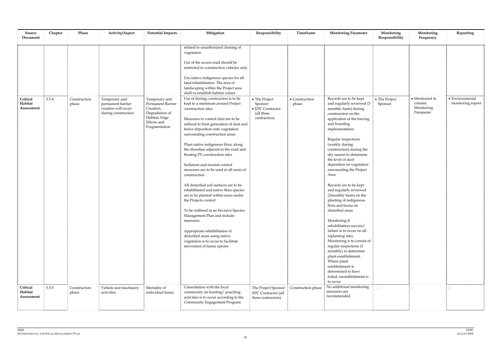| Source<br>Document                | Chapter | Phase                 | Activity/Aspect                                                                  | <b>Potential Impacts</b>                                                                                           | Mitigation                                                                                                                                                                                                                                                                                                                                                                                                                                                                                                                                                                                                                                                                                                                                                                                                                                        | Responsibility                                                                     | Timeframe               | <b>Monitoring Parameter</b>                                                                                                                                                                                                                                                                                                                                                                                                                                                                                                                                                                                                                                                                                                                                                                                           | Monitoring<br>Responsibility | Monitoring<br>Frequency                             | Reporting                                    |
|-----------------------------------|---------|-----------------------|----------------------------------------------------------------------------------|--------------------------------------------------------------------------------------------------------------------|---------------------------------------------------------------------------------------------------------------------------------------------------------------------------------------------------------------------------------------------------------------------------------------------------------------------------------------------------------------------------------------------------------------------------------------------------------------------------------------------------------------------------------------------------------------------------------------------------------------------------------------------------------------------------------------------------------------------------------------------------------------------------------------------------------------------------------------------------|------------------------------------------------------------------------------------|-------------------------|-----------------------------------------------------------------------------------------------------------------------------------------------------------------------------------------------------------------------------------------------------------------------------------------------------------------------------------------------------------------------------------------------------------------------------------------------------------------------------------------------------------------------------------------------------------------------------------------------------------------------------------------------------------------------------------------------------------------------------------------------------------------------------------------------------------------------|------------------------------|-----------------------------------------------------|----------------------------------------------|
|                                   |         |                       |                                                                                  |                                                                                                                    | related to unauthorized clearing of<br>vegetation<br>Use of the access road should be<br>restricted to construction vehicles only<br>Use native indigenous species for all<br>land rehabilitation. The area of<br>landscaping within the Project area<br>shall re-establish habitat values                                                                                                                                                                                                                                                                                                                                                                                                                                                                                                                                                        |                                                                                    |                         |                                                                                                                                                                                                                                                                                                                                                                                                                                                                                                                                                                                                                                                                                                                                                                                                                       |                              |                                                     |                                              |
| Critical<br>Habitat<br>Assessment | 5.5.4   | Construction<br>phase | Temporary and<br>permanent barrier<br>creation will occur<br>during construction | Temporary and<br>Permanent Barrier<br>Creation,<br>Degradation of<br>Habitat, Edge<br>Effects and<br>Fragmentation | Use of during construction is to be<br>kept to a minimum around Project<br>construction sites<br>Measures to control dust are to be<br>utilized to limit generation of dust and<br>hence deposition onto vegetation<br>surrounding construction areas<br>Plant native indigenous flora, along<br>the shoreline adjacent to the road and<br>floating PV construction sites<br>Sediment and erosion control<br>measures are to be used in all areas of<br>construction<br>All disturbed soil surfaces are to be<br>rehabilitated and native flora species<br>are to be planted within areas under<br>the Projects control<br>To be outlined in an Invasive Species<br>Management Plan and include<br>measures<br>Appropriate rehabilitation of<br>disturbed areas using native<br>vegetation is to occur to facilitate<br>movement of fauna species | • The Project<br>Sponsor<br>$\bullet$ EPC Contractor<br>(all three<br>contractors) | • Construction<br>phase | Records are to be kept<br>and regularly reviewed (3<br>monthly basis) during<br>construction on the<br>application of the fencing<br>and hoarding<br>implementation<br>Regular inspections<br>(weekly during<br>construction) during the<br>dry season to determine<br>the level of dust<br>deposition on vegetation<br>surrounding the Project<br>Area<br>Records are to be kept<br>and regularly reviewed<br>(3monthly basis) on the<br>planting of indigenous<br>flora and fauna on<br>disturbed areas<br>Monitoring if<br>rehabilitation success/<br>failure is to occur on all<br>replanting sites.<br>Monitoring is to consist of<br>regular inspections (3<br>monthly) to determine<br>plant establishment.<br>Where plant<br>establishment is<br>determined to have<br>failed, reestablishment is<br>to occur | • The Project<br>Sponsor     | • Mentioned in<br>column<br>Monitoring<br>Parameter | $\bullet$ Environmental<br>monitoring report |
| Critical<br>Habitat<br>Assessment | 5.5.5   | Construction<br>phase | Vehicle and machinery<br>activities                                              | Mortality of<br>individual fauna                                                                                   | Consultation with the local<br>community on hunting/ poaching<br>activities is to occur according to the<br>Community Engagement Program                                                                                                                                                                                                                                                                                                                                                                                                                                                                                                                                                                                                                                                                                                          | The Project Sponsor<br><b>EPC</b> Contractor (all<br>three contractors)            | Construction phase      | No additional monitoring<br>measures are<br>recommended                                                                                                                                                                                                                                                                                                                                                                                                                                                                                                                                                                                                                                                                                                                                                               |                              |                                                     |                                              |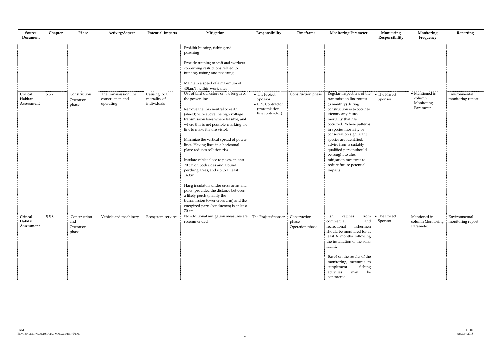| Source<br>Document                | Chapter | Phase                                     | Activity/Aspect                                        | <b>Potential Impacts</b>                     | Mitigation                                                                                                                                                                                                                                                                                                                                                                                                                                                                                                                                                                                                                                                                                                                                                                                                                                                                                                                                       | Responsibility                                                                            | Timeframe                                | <b>Monitoring Parameter</b>                                                                                                                                                                                                                                                                                                                                                                                      | Monitoring<br>Responsibility  | Monitoring<br>Frequency                                     | Reporting                          |
|-----------------------------------|---------|-------------------------------------------|--------------------------------------------------------|----------------------------------------------|--------------------------------------------------------------------------------------------------------------------------------------------------------------------------------------------------------------------------------------------------------------------------------------------------------------------------------------------------------------------------------------------------------------------------------------------------------------------------------------------------------------------------------------------------------------------------------------------------------------------------------------------------------------------------------------------------------------------------------------------------------------------------------------------------------------------------------------------------------------------------------------------------------------------------------------------------|-------------------------------------------------------------------------------------------|------------------------------------------|------------------------------------------------------------------------------------------------------------------------------------------------------------------------------------------------------------------------------------------------------------------------------------------------------------------------------------------------------------------------------------------------------------------|-------------------------------|-------------------------------------------------------------|------------------------------------|
| Critical<br>Habitat<br>Assessment | 5.5.7   | Construction<br>Operation<br>phase        | The transmission line<br>construction and<br>operating | Causing local<br>mortality of<br>individuals | Prohibit hunting, fishing and<br>poaching<br>Provide training to staff and workers<br>concerning restrictions related to<br>hunting, fishing and poaching<br>Maintain a speed of a maximum of<br>40km/h within work sites<br>Use of bird deflectors on the length of<br>the power line<br>Remove the thin neutral or earth<br>(shield) wire above the high voltage<br>transmission lines where feasible, and<br>where this is not possible, marking the<br>line to make it more visible<br>Minimize the vertical spread of power<br>lines. Having lines in a horizontal<br>plane reduces collision risk<br>Insulate cables close to poles, at least<br>70 cm on both sides and around<br>perching areas, and up to at least<br>140cm<br>Hang insulators under cross arms and<br>poles, provided the distance between<br>a likely perch (mainly the<br>transmission tower cross arm) and the<br>energized parts (conductors) is at least<br>70 cm | • The Project<br>Sponsor<br>$\bullet$ EPC Contractor<br>(transmission<br>line contractor) | Construction phase                       | Regular inspections of the<br>transmission line routes<br>(3 monthly) during<br>construction is to occur to<br>identify any fauna<br>mortality that has<br>occurred. Where patterns<br>in species mortality or<br>conservation significant<br>species are identified,<br>advice from a suitably<br>qualified person should<br>be sought to alter<br>mitigation measures to<br>reduce future potential<br>impacts | • The Project<br>Sponsor      | $\bullet$ Mentioned in<br>column<br>Monitoring<br>Parameter | Environmental<br>monitoring report |
| Critical<br>Habitat<br>Assessment | 5.5.8   | Construction<br>and<br>Operation<br>phase | Vehicle and machinery                                  | Ecosystem services                           | No additional mitigation measures are The Project Sponsor<br>recommended                                                                                                                                                                                                                                                                                                                                                                                                                                                                                                                                                                                                                                                                                                                                                                                                                                                                         |                                                                                           | Construction<br>phase<br>Operation phase | Fish<br>catches<br>commercial<br>and<br>fishermen<br>recreational<br>should be monitored for at<br>least 6 months following<br>the installation of the solar<br>facility<br>Based on the results of the<br>monitoring, measures to<br>fishing<br>supplement<br>activities<br>may be<br>considered                                                                                                                | from • The Project<br>Sponsor | Mentioned in<br>column Monitoring<br>Parameter              | Environmental<br>monitoring report |